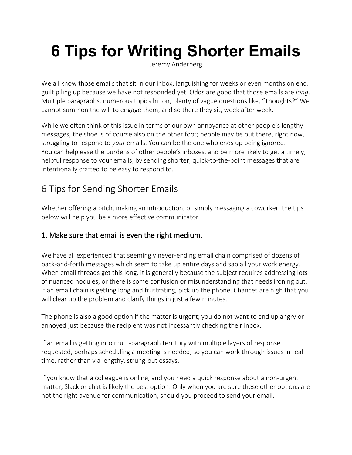# **6 Tips for Writing Shorter Emails**

Jeremy Anderberg

We all know those emails that sit in our inbox, languishing for weeks or even months on end, guilt piling up because we have not responded yet. Odds are good that those emails are *long*. Multiple paragraphs, numerous topics hit on, plenty of vague questions like, "Thoughts?" We cannot summon the will to engage them, and so there they sit, week after week.

While we often think of this issue in terms of our own annoyance at other people's lengthy messages, the shoe is of course also on the other foot; people may be out there, right now, struggling to respond to *your* emails. You can be the one who ends up being ignored. You can help ease the burdens of other people's inboxes, and be more likely to get a timely, helpful response to your emails, by sending shorter, quick-to-the-point messages that are intentionally crafted to be easy to respond to.

## 6 Tips for Sending Shorter Emails

Whether offering a pitch, making an introduction, or simply messaging a coworker, the tips below will help you be a more effective communicator.

### 1. Make sure that email is even the right medium.

We have all experienced that seemingly never-ending email chain comprised of dozens of back-and-forth messages which seem to take up entire days and sap all your work energy. When email threads get this long, it is generally because the subject requires addressing lots of nuanced nodules, or there is some confusion or misunderstanding that needs ironing out. If an email chain is getting long and frustrating, pick up the phone. Chances are high that you will clear up the problem and clarify things in just a few minutes.

The phone is also a good option if the matter is urgent; you do not want to end up angry or annoyed just because the recipient was not incessantly checking their inbox.

If an email is getting into multi-paragraph territory with multiple layers of response requested, perhaps scheduling a meeting is needed, so you can work through issues in realtime, rather than via lengthy, strung-out essays.

If you know that a colleague is online, and you need a quick response about a non-urgent matter, Slack or chat is likely the best option. Only when you are sure these other options are not the right avenue for communication, should you proceed to send your email.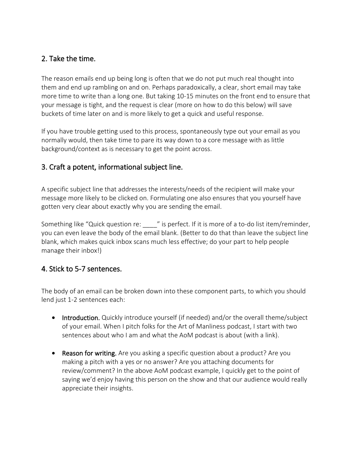#### 2. Take the time.

The reason emails end up being long is often that we do not put much real thought into them and end up rambling on and on. Perhaps paradoxically, a clear, short email may take more time to write than a long one. But taking 10-15 minutes on the front end to ensure that your message is tight, and the request is clear (more on how to do this below) will save buckets of time later on and is more likely to get a quick and useful response.

If you have trouble getting used to this process, spontaneously type out your email as you normally would, then take time to pare its way down to a core message with as little background/context as is necessary to get the point across.

#### 3. Craft a potent, informational subject line.

A specific subject line that addresses the interests/needs of the recipient will make your message more likely to be clicked on. Formulating one also ensures that you yourself have gotten very clear about exactly why you are sending the email.

Something like "Quick question re: " is perfect. If it is more of a to-do list item/reminder, you can even leave the body of the email blank. (Better to do that than leave the subject line blank, which makes quick inbox scans much less effective; do your part to help people manage their inbox!)

#### 4. Stick to 5-7 sentences.

The body of an email can be broken down into these component parts, to which you should lend just 1-2 sentences each:

- Introduction. Quickly introduce yourself (if needed) and/or the overall theme/subject of your email. When I pitch folks for the Art of Manliness podcast, I start with two sentences about who I am and what the AoM podcast is about (with a link).
- Reason for writing. Are you asking a specific question about a product? Are you making a pitch with a yes or no answer? Are you attaching documents for review/comment? In the above AoM podcast example, I quickly get to the point of saying we'd enjoy having this person on the show and that our audience would really appreciate their insights.